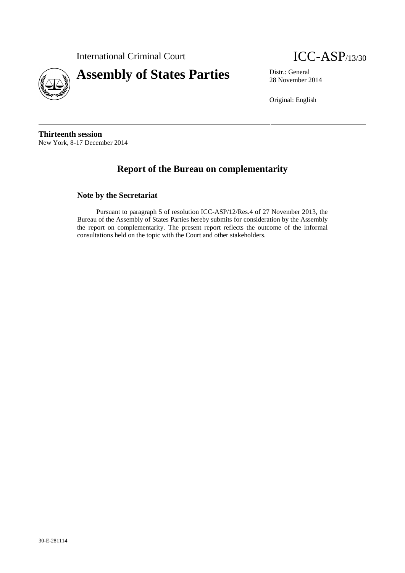International Criminal Court **ICC-ASP**/13/30





28 November 2014

Original: English

**Thirteenth session** New York, 8-17 December 2014

## **Report of the Bureau on complementarity**

#### **Note by the Secretariat**

Pursuant to paragraph 5 of resolution ICC-ASP/12/Res.4 of 27 November 2013, the Bureau of the Assembly of States Parties hereby submits for consideration by the Assembly the report on complementarity. The present report reflects the outcome of the informal consultations held on the topic with the Court and other stakeholders.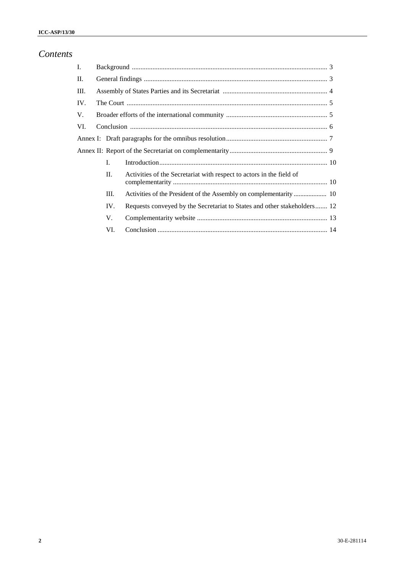# *Contents*

| I.  |     |                                                                          |  |
|-----|-----|--------------------------------------------------------------------------|--|
| П.  |     |                                                                          |  |
| Ш.  |     |                                                                          |  |
| IV. |     |                                                                          |  |
| V.  |     |                                                                          |  |
| VI. |     |                                                                          |  |
|     |     |                                                                          |  |
|     |     |                                                                          |  |
|     | L   |                                                                          |  |
|     | II. | Activities of the Secretariat with respect to actors in the field of     |  |
|     | Ш.  |                                                                          |  |
|     | IV. | Requests conveyed by the Secretariat to States and other stakeholders 12 |  |
|     | V.  |                                                                          |  |
|     | VI. |                                                                          |  |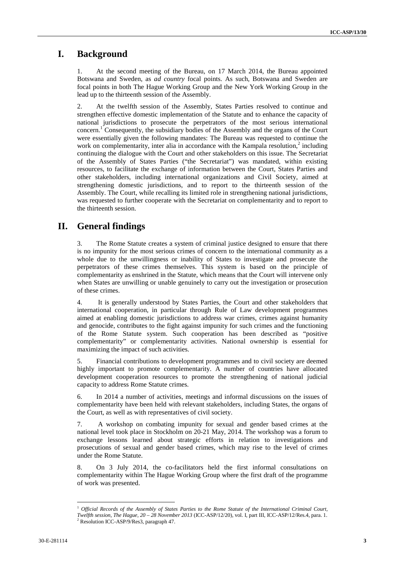### **I. Background**

At the second meeting of the Bureau, on 17 March 2014, the Bureau appointed Botswana and Sweden, as *ad country* focal points. As such, Botswana and Sweden are focal points in both The Hague Working Group and the New York Working Group in the lead up to the thirteenth session of the Assembly.

2. At the twelfth session of the Assembly, States Parties resolved to continue and strengthen effective domestic implementation of the Statute and to enhance the capacity of national jurisdictions to prosecute the perpetrators of the most serious international concern.<sup>1</sup> Consequently, the subsidiary bodies of the Assembly and the organs of the Court were essentially given the following mandates: The Bureau was requested to continue the work on complementarity, inter alia in accordance with the Kampala resolution, $2$  including continuing the dialogue with the Court and other stakeholders on this issue. The Secretariat of the Assembly of States Parties ("the Secretariat") was mandated, within existing resources, to facilitate the exchange of information between the Court, States Parties and other stakeholders, including international organizations and Civil Society, aimed at strengthening domestic jurisdictions, and to report to the thirteenth session of the Assembly. The Court, while recalling its limited role in strengthening national jurisdictions, was requested to further cooperate with the Secretariat on complementarity and to report to the thirteenth session.

### **II. General findings**

3. The Rome Statute creates a system of criminal justice designed to ensure that there is no impunity for the most serious crimes of concern to the international community as a whole due to the unwillingness or inability of States to investigate and prosecute the perpetrators of these crimes themselves. This system is based on the principle of complementarity as enshrined in the Statute, which means that the Court will intervene only when States are unwilling or unable genuinely to carry out the investigation or prosecution of these crimes.

4. It is generally understood by States Parties, the Court and other stakeholders that international cooperation, in particular through Rule of Law development programmes aimed at enabling domestic jurisdictions to address war crimes, crimes against humanity and genocide, contributes to the fight against impunity for such crimes and the functioning of the Rome Statute system. Such cooperation has been described as "positive complementarity" or complementarity activities. National ownership is essential for maximizing the impact of such activities.

5. Financial contributions to development programmes and to civil society are deemed highly important to promote complementarity. A number of countries have allocated development cooperation resources to promote the strengthening of national judicial capacity to address Rome Statute crimes.

6. In 2014 a number of activities, meetings and informal discussions on the issues of complementarity have been held with relevant stakeholders, including States, the organs of the Court, as well as with representatives of civil society.

7. A workshop on combating impunity for sexual and gender based crimes at the national level took place in Stockholm on 20-21 May, 2014. The workshop was a forum to exchange lessons learned about strategic efforts in relation to investigations and prosecutions of sexual and gender based crimes, which may rise to the level of crimes under the Rome Statute.

8. On 3 July 2014, the co-facilitators held the first informal consultations on complementarity within The Hague Working Group where the first draft of the programme of work was presented.

<sup>1</sup> *Official Records of the Assembly of States Parties to the Rome Statute of the International Criminal Court, Twelfth session, The Hague, 20 – 28 November 2013* (ICC-ASP/12/20), vol. I, part III, ICC-ASP/12/Res.4, para. 1. <sup>2</sup> Resolution ICC-ASP/9/Res3, paragraph 47.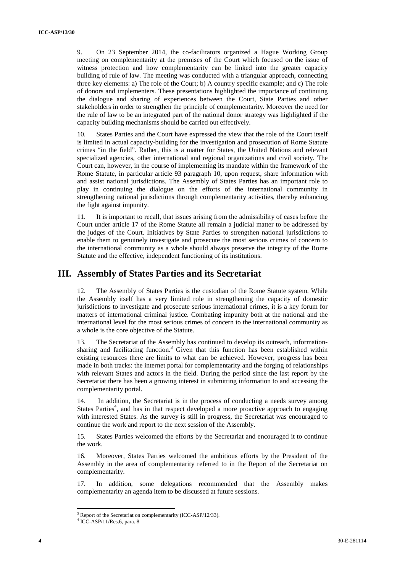9. On 23 September 2014, the co-facilitators organized a Hague Working Group meeting on complementarity at the premises of the Court which focused on the issue of witness protection and how complementarity can be linked into the greater capacity building of rule of law. The meeting was conducted with a triangular approach, connecting three key elements: a) The role of the Court; b) A country specific example; and c) The role of donors and implementers. These presentations highlighted the importance of continuing the dialogue and sharing of experiences between the Court, State Parties and other stakeholders in order to strengthen the principle of complementarity. Moreover the need for the rule of law to be an integrated part of the national donor strategy was highlighted if the capacity building mechanisms should be carried out effectively.

10. States Parties and the Court have expressed the view that the role of the Court itself is limited in actual capacity-building for the investigation and prosecution of Rome Statute crimes "in the field". Rather, this is a matter for States, the United Nations and relevant specialized agencies, other international and regional organizations and civil society. The Court can, however, in the course of implementing its mandate within the framework of the Rome Statute, in particular article 93 paragraph 10, upon request, share information with and assist national jurisdictions. The Assembly of States Parties has an important role to play in continuing the dialogue on the efforts of the international community in strengthening national jurisdictions through complementarity activities, thereby enhancing the fight against impunity.

11. It is important to recall, that issues arising from the admissibility of cases before the Court under article 17 of the Rome Statute all remain a judicial matter to be addressed by the judges of the Court. Initiatives by State Parties to strengthen national jurisdictions to enable them to genuinely investigate and prosecute the most serious crimes of concern to the international community as a whole should always preserve the integrity of the Rome Statute and the effective, independent functioning of its institutions.

### **III. Assembly of States Parties and its Secretariat**

12. The Assembly of States Parties is the custodian of the Rome Statute system. While the Assembly itself has a very limited role in strengthening the capacity of domestic jurisdictions to investigate and prosecute serious international crimes, it is a key forum for matters of international criminal justice. Combating impunity both at the national and the international level for the most serious crimes of concern to the international community as a whole is the core objective of the Statute.

13. The Secretariat of the Assembly has continued to develop its outreach, information sharing and facilitating function.<sup>3</sup> Given that this function has been established within existing resources there are limits to what can be achieved. However, progress has been made in both tracks: the internet portal for complementarity and the forging of relationships with relevant States and actors in the field. During the period since the last report by the Secretariat there has been a growing interest in submitting information to and accessing the complementarity portal.

14. In addition, the Secretariat is in the process of conducting a needs survey among States Parties<sup>4</sup>, and has in that respect developed a more proactive approach to engaging with interested States. As the survey is still in progress, the Secretariat was encouraged to continue the work and report to the next session of the Assembly.

15. States Parties welcomed the efforts by the Secretariat and encouraged it to continue the work.

16. Moreover, States Parties welcomed the ambitious efforts by the President of the Assembly in the area of complementarity referred to in the Report of the Secretariat on complementarity.

17. In addition, some delegations recommended that the Assembly makes complementarity an agenda item to be discussed at future sessions.

<sup>&</sup>lt;sup>3</sup> Report of the Secretariat on complementarity (ICC-ASP/12/33).  $4$  ICC-ASP/11/Res.6, para. 8.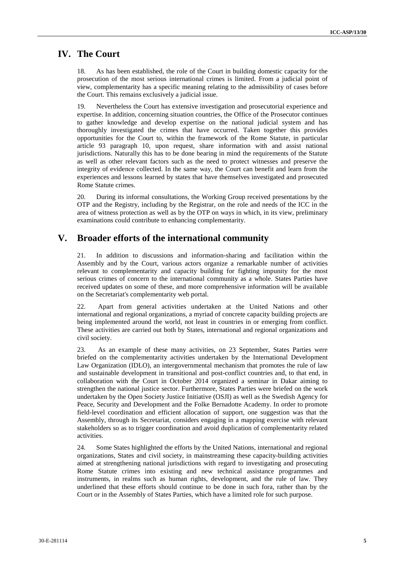### **IV. The Court**

As has been established, the role of the Court in building domestic capacity for the prosecution of the most serious international crimes is limited. From a judicial point of view, complementarity has a specific meaning relating to the admissibility of cases before the Court. This remains exclusively a judicial issue.

19. Nevertheless the Court has extensive investigation and prosecutorial experience and expertise. In addition, concerning situation countries, the Office of the Prosecutor continues to gather knowledge and develop expertise on the national judicial system and has thoroughly investigated the crimes that have occurred. Taken together this provides opportunities for the Court to, within the framework of the Rome Statute, in particular article 93 paragraph 10, upon request, share information with and assist national jurisdictions. Naturally this has to be done bearing in mind the requirements of the Statute as well as other relevant factors such as the need to protect witnesses and preserve the integrity of evidence collected. In the same way, the Court can benefit and learn from the experiences and lessons learned by states that have themselves investigated and prosecuted Rome Statute crimes.

20. During its informal consultations, the Working Group received presentations by the OTP and the Registry, including by the Registrar, on the role and needs of the ICC in the area of witness protection as well as by the OTP on ways in which, in its view, preliminary examinations could contribute to enhancing complementarity.

### **V. Broader efforts of the international community**

21. In addition to discussions and information-sharing and facilitation within the Assembly and by the Court, various actors organize a remarkable number of activities relevant to complementarity and capacity building for fighting impunity for the most serious crimes of concern to the international community as a whole. States Parties have received updates on some of these, and more comprehensive information will be available on the Secretariat's complementarity web portal.

22. Apart from general activities undertaken at the United Nations and other international and regional organizations, a myriad of concrete capacity building projects are being implemented around the world, not least in countries in or emerging from conflict. These activities are carried out both by States, international and regional organizations and civil society.

23. As an example of these many activities, on 23 September, States Parties were briefed on the complementarity activities undertaken by the International Development Law Organization (IDLO), an intergovernmental mechanism that promotes the rule of law and sustainable development in transitional and post-conflict countries and, to that end, in collaboration with the Court in October 2014 organized a seminar in Dakar aiming to strengthen the national justice sector. Furthermore, States Parties were briefed on the work undertaken by the Open Society Justice Initiative (OSJI) as well as the Swedish Agency for Peace, Security and Development and the Folke Bernadotte Academy. In order to promote field-level coordination and efficient allocation of support, one suggestion was that the Assembly, through its Secretariat, considers engaging in a mapping exercise with relevant stakeholders so as to trigger coordination and avoid duplication of complementarity related activities.

24. Some States highlighted the efforts by the United Nations, international and regional organizations, States and civil society, in mainstreaming these capacity-building activities aimed at strengthening national jurisdictions with regard to investigating and prosecuting Rome Statute crimes into existing and new technical assistance programmes and instruments, in realms such as human rights, development, and the rule of law. They underlined that these efforts should continue to be done in such fora, rather than by the Court or in the Assembly of States Parties, which have a limited role for such purpose.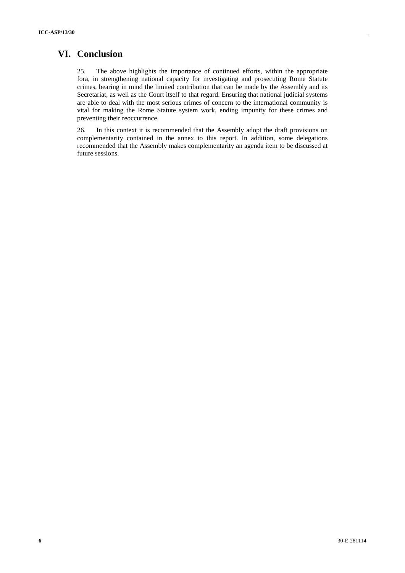## **VI. Conclusion**

25. The above highlights the importance of continued efforts, within the appropriate fora, in strengthening national capacity for investigating and prosecuting Rome Statute crimes, bearing in mind the limited contribution that can be made by the Assembly and its Secretariat, as well as the Court itself to that regard. Ensuring that national judicial systems are able to deal with the most serious crimes of concern to the international community is vital for making the Rome Statute system work, ending impunity for these crimes and preventing their reoccurrence.

26. In this context it is recommended that the Assembly adopt the draft provisions on complementarity contained in the annex to this report. In addition, some delegations recommended that the Assembly makes complementarity an agenda item to be discussed at future sessions.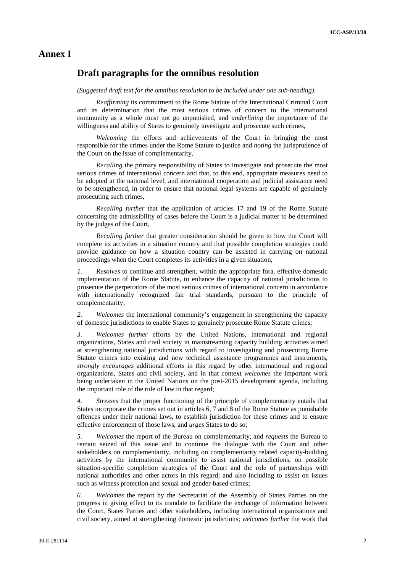### **Annex I**

#### **Draft paragraphs for the omnibus resolution**

*(Suggested draft text for the omnibus resolution to be included under one sub-heading).*

*Reaffirming* its commitment to the Rome Statute of the International Criminal Court and its determination that the most serious crimes of concern to the international community as a whole must not go unpunished, and *underlining* the importance of the willingness and ability of States to genuinely investigate and prosecute such crimes,

*Welcoming* the efforts and achievements of the Court in bringing the most responsible for the crimes under the Rome Statute to justice and *noting* the jurisprudence of the Court on the issue of complementarity,

*Recalling* the primary responsibility of States to investigate and prosecute the most serious crimes of international concern and that, to this end, appropriate measures need to be adopted at the national level, and international cooperation and judicial assistance need to be strengthened, in order to ensure that national legal systems are capable of genuinely prosecuting such crimes,

*Recalling further* that the application of articles 17 and 19 of the Rome Statute concerning the admissibility of cases before the Court is a judicial matter to be determined by the judges of the Court,

*Recalling further* that greater consideration should be given to how the Court will complete its activities in a situation country and that possible completion strategies could provide guidance on how a situation country can be assisted in carrying on national proceedings when the Court completes its activities in a given situation,

*Resolves* to continue and strengthen, within the appropriate fora, effective domestic implementation of the Rome Statute, to enhance the capacity of national jurisdictions to prosecute the perpetrators of the most serious crimes of international concern in accordance with internationally recognized fair trial standards, pursuant to the principle of complementarity;

*2. Welcomes* the international community's engagement in strengthening the capacity of domestic jurisdictions to enable States to genuinely prosecute Rome Statute crimes;

*3. Welcomes further* efforts by the United Nations, international and regional organizations, States and civil society in mainstreaming capacity building activities aimed at strengthening national jurisdictions with regard to investigating and prosecuting Rome Statute crimes into existing and new technical assistance programmes and instruments, *strongly encourages* additional efforts in this regard by other international and regional organizations, States and civil society, and in that context *welcomes* the important work being undertaken in the United Nations on the post-2015 development agenda, including the important role of the rule of law in that regard;

*4. Stresses* that the proper functioning of the principle of complementarity entails that States incorporate the crimes set out in articles 6, 7 and 8 of the Rome Statute as punishable offences under their national laws, to establish jurisdiction for these crimes and to ensure effective enforcement of those laws, and *urges* States to do so;

*5. Welcomes* the report of the Bureau on complementarity, and *requests* the Bureau to remain seized of this issue and to continue the dialogue with the Court and other stakeholders on complementarity, including on complementarity related capacity-building activities by the international community to assist national jurisdictions, on possible situation-specific completion strategies of the Court and the role of partnerships with national authorities and other actors in this regard; and also including to assist on issues such as witness protection and sexual and gender-based crimes;

*6. Welcomes* the report by the Secretariat of the Assembly of States Parties on the progress in giving effect to its mandate to facilitate the exchange of information between the Court, States Parties and other stakeholders, including international organizations and civil society, aimed at strengthening domestic jurisdictions; *welcomes further* the work that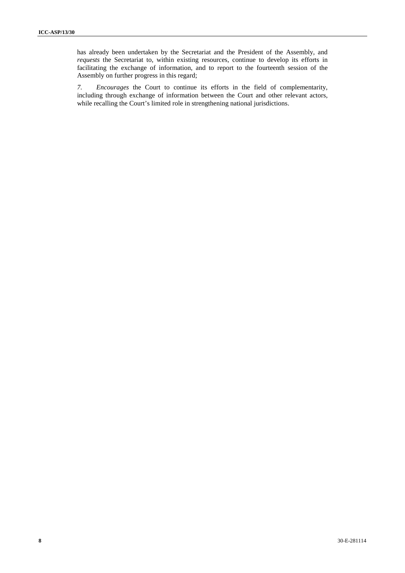has already been undertaken by the Secretariat and the President of the Assembly, and *requests* the Secretariat to, within existing resources, continue to develop its efforts in facilitating the exchange of information, and to report to the fourteenth session of the Assembly on further progress in this regard;

*7. Encourages* the Court to continue its efforts in the field of complementarity, including through exchange of information between the Court and other relevant actors, while recalling the Court's limited role in strengthening national jurisdictions.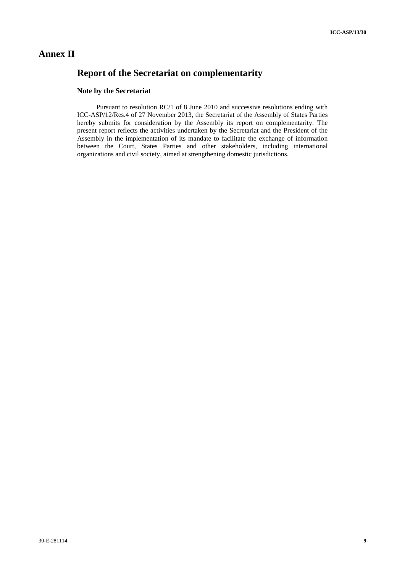## **Annex II**

## **Report of the Secretariat on complementarity**

#### **Note by the Secretariat**

Pursuant to resolution RC/1 of 8 June 2010 and successive resolutions ending with ICC-ASP/12/Res.4 of 27 November 2013, the Secretariat of the Assembly of States Parties hereby submits for consideration by the Assembly its report on complementarity. The present report reflects the activities undertaken by the Secretariat and the President of the Assembly in the implementation of its mandate to facilitate the exchange of information between the Court, States Parties and other stakeholders, including international organizations and civil society, aimed at strengthening domestic jurisdictions.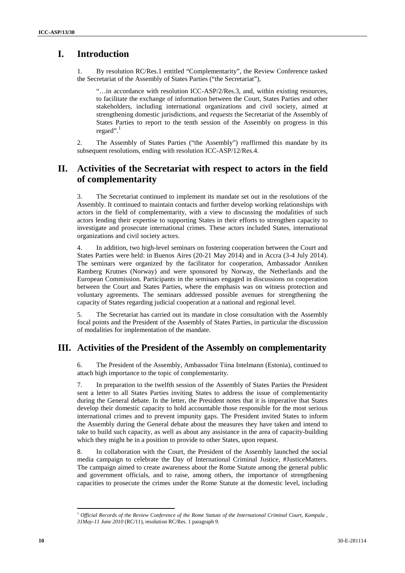## **I. Introduction**

1. By resolution RC/Res.1 entitled "Complementarity", the Review Conference tasked the Secretariat of the Assembly of States Parties ("the Secretariat"),

"…in accordance with resolution ICC-ASP/2/Res.3, and, within existing resources, to facilitate the exchange of information between the Court, States Parties and other stakeholders, including international organizations and civil society, aimed at strengthening domestic jurisdictions, and *requests* the Secretariat of the Assembly of States Parties to report to the tenth session of the Assembly on progress in this regard".<sup>1</sup>

2. The Assembly of States Parties ("the Assembly") reaffirmed this mandate by its subsequent resolutions, ending with resolution ICC-ASP/12/Res.4.

## **II. Activities of the Secretariat with respect to actors in the field of complementarity**

3. The Secretariat continued to implement its mandate set out in the resolutions of the Assembly. It continued to maintain contacts and further develop working relationships with actors in the field of complementarity, with a view to discussing the modalities of such actors lending their expertise to supporting States in their efforts to strengthen capacity to investigate and prosecute international crimes. These actors included States, international organizations and civil society actors.

4. In addition, two high-level seminars on fostering cooperation between the Court and States Parties were held: in Buenos Aires (20-21 May 2014) and in Accra (3-4 July 2014). The seminars were organized by the facilitator for cooperation, Ambassador Anniken Ramberg Krutnes (Norway) and were sponsored by Norway, the Netherlands and the European Commission. Participants in the seminars engaged in discussions on cooperation between the Court and States Parties, where the emphasis was on witness protection and voluntary agreements. The seminars addressed possible avenues for strengthening the capacity of States regarding judicial cooperation at a national and regional level.

5. The Secretariat has carried out its mandate in close consultation with the Assembly focal points and the President of the Assembly of States Parties, in particular the discussion of modalities for implementation of the mandate.

### **III. Activities of the President of the Assembly on complementarity**

6. The President of the Assembly, Ambassador Tiina Intelmann (Estonia), continued to attach high importance to the topic of complementarity.

7. In preparation to the twelfth session of the Assembly of States Parties the President sent a letter to all States Parties inviting States to address the issue of complementarity during the General debate. In the letter, the President notes that it is imperative that States develop their domestic capacity to hold accountable those responsible for the most serious international crimes and to prevent impunity gaps. The President invited States to inform the Assembly during the General debate about the measures they have taken and intend to take to build such capacity, as well as about any assistance in the area of capacity-building which they might be in a position to provide to other States, upon request.

8. In collaboration with the Court, the President of the Assembly launched the social media campaign to celebrate the Day of International Criminal Justice, #JusticeMatters. The campaign aimed to create awareness about the Rome Statute among the general public and government officials, and to raise, among others, the importance of strengthening capacities to prosecute the crimes under the Rome Statute at the domestic level, including

<sup>1</sup> *Official Records of the Review Conference of the Rome Statute of the International Criminal Court, Kampala ,*

*<sup>31</sup>May-11 June 2010* (RC/11), resolution RC/Res. 1 paragraph 9.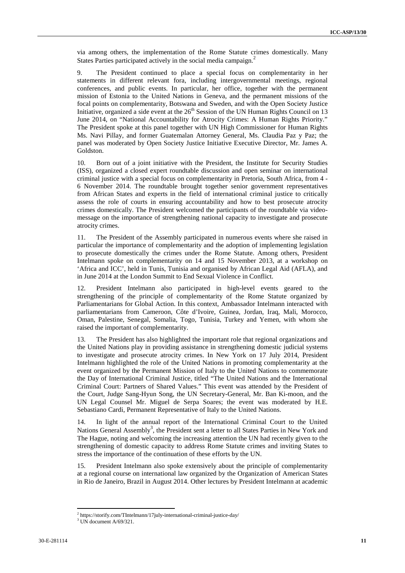via among others, the implementation of the Rome Statute crimes domestically. Many States Parties participated actively in the social media campaign.<sup>2</sup>

9. The President continued to place a special focus on complementarity in her statements in different relevant fora, including intergovernmental meetings, regional conferences, and public events. In particular, her office, together with the permanent mission of Estonia to the United Nations in Geneva, and the permanent missions of the focal points on complementarity, Botswana and Sweden, and with the Open Society Justice Initiative, organized a side event at the 26<sup>th</sup> Session of the UN Human Rights Council on 13 June 2014, on "National Accountability for Atrocity Crimes: A Human Rights Priority." The President spoke at this panel together with UN High Commissioner for Human Rights Ms. Navi Pillay, and former Guatemalan Attorney General, Ms. Claudia Paz y Paz; the panel was moderated by Open Society Justice Initiative Executive Director, Mr. James A. Goldston.

10. Born out of a joint initiative with the President, the Institute for Security Studies (ISS), organized a closed expert roundtable discussion and open seminar on international criminal justice with a special focus on complementarity in Pretoria, South Africa, from 4 - 6 November 2014. The roundtable brought together senior government representatives from African States and experts in the field of international criminal justice to critically assess the role of courts in ensuring accountability and how to best prosecute atrocity crimes domestically. The President welcomed the participants of the roundtable via video message on the importance of strengthening national capacity to investigate and prosecute atrocity crimes.

11. The President of the Assembly participated in numerous events where she raised in particular the importance of complementarity and the adoption of implementing legislation to prosecute domestically the crimes under the Rome Statute. Among others, President Intelmann spoke on complementarity on 14 and 15 November 2013, at a workshop on 'Africa and ICC', held in Tunis, Tunisia and organised by African Legal Aid (AFLA), and in June 2014 at the London Summit to End Sexual Violence in Conflict.

12. President Intelmann also participated in high-level events geared to the strengthening of the principle of complementarity of the Rome Statute organized by Parliamentarians for Global Action. In this context, Ambassador Intelmann interacted with parliamentarians from Cameroon, Côte d'Ivoire, Guinea, Jordan, Iraq, Mali, Morocco, Oman, Palestine, Senegal, Somalia, Togo, Tunisia, Turkey and Yemen, with whom she raised the important of complementarity.

13. The President has also highlighted the important role that regional organizations and the United Nations play in providing assistance in strengthening domestic judicial systems to investigate and prosecute atrocity crimes. In New York on 17 July 2014, President Intelmann highlighted the role of the United Nations in promoting complementarity at the event organized by the Permanent Mission of Italy to the United Nations to commemorate the Day of International Criminal Justice, titled "The United Nations and the International Criminal Court: Partners of Shared Values." This event was attended by the President of the Court, Judge Sang-Hyun Song, the UN Secretary-General, Mr. Ban Ki-moon, and the UN Legal Counsel Mr. Miguel de Serpa Soares; the event was moderated by H.E. Sebastiano Cardi, Permanent Representative of Italy to the United Nations.

14. In light of the annual report of the International Criminal Court to the United Nations General Assembly<sup>3</sup>, the President sent a letter to all States Parties in New York and The Hague, noting and welcoming the increasing attention the UN had recently given to the strengthening of domestic capacity to address Rome Statute crimes and inviting States to stress the importance of the continuation of these efforts by the UN.

15. President Intelmann also spoke extensively about the principle of complementarity at a regional course on international law organized by the Organization of American States in Rio de Janeiro, Brazil in August 2014. Other lectures by President Intelmann at academic

<sup>&</sup>lt;sup>2</sup> https://storify.com/TIntelmann/17july-international-criminal-justice-day/  $3$  UN document A/69/321.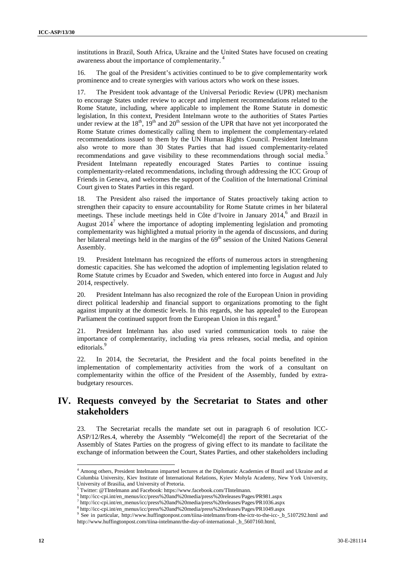institutions in Brazil, South Africa, Ukraine and the United States have focused on creating awareness about the importance of complementarity. <sup>4</sup>

16. The goal of the President's activities continued to be to give complementarity work prominence and to create synergies with various actors who work on these issues.

17. The President took advantage of the Universal Periodic Review (UPR) mechanism to encourage States under review to accept and implement recommendations related to the Rome Statute, including, where applicable to implement the Rome Statute in domestic legislation, In this context, President Intelmann wrote to the authorities of States Parties under review at the  $18<sup>th</sup>$ ,  $19<sup>th</sup>$  and  $20<sup>th</sup>$  session of the UPR that have not yet incorporated the Rome Statute crimes domestically calling them to implement the complementary-related recommendations issued to them by the UN Human Rights Council. President Intelmann also wrote to more than 30 States Parties that had issued complementarity-related recommendations and gave visibility to these recommendations through social media.<sup>5</sup> President Intelmann repeatedly encouraged States Parties to continue issuing complementarity-related recommendations, including through addressing the ICC Group of Friends in Geneva, and welcomes the support of the Coalition of the International Criminal Court given to States Parties in this regard.

18. The President also raised the importance of States proactively taking action to strengthen their capacity to ensure accountability for Rome Statute crimes in her bilateral meetings. These include meetings held in Côte d'Ivoire in January 2014, $<sup>6</sup>$  and Brazil in</sup> August  $2014^7$  where the importance of adopting implementing legislation and promoting complementarity was highlighted a mutual priority in the agenda of discussions, and during her bilateral meetings held in the margins of the 69<sup>th</sup> session of the United Nations General Assembly.

19. President Intelmann has recognized the efforts of numerous actors in strengthening domestic capacities. She has welcomed the adoption of implementing legislation related to Rome Statute crimes by Ecuador and Sweden, which entered into force in August and July 2014, respectively.

20. President Intelmann has also recognized the role of the European Union in providing direct political leadership and financial support to organizations promoting to the fight against impunity at the domestic levels. In this regards, she has appealed to the European Parliament the continued support from the European Union in this regard.<sup>8</sup>

21. President Intelmann has also used varied communication tools to raise the importance of complementarity, including via press releases, social media, and opinion editorials.<sup>9</sup>

22. In 2014, the Secretariat, the President and the focal points benefited in the implementation of complementarity activities from the work of a consultant on complementarity within the office of the President of the Assembly, funded by extra budgetary resources.

## **IV. Requests conveyed by the Secretariat to States and other stakeholders**

23. The Secretariat recalls the mandate set out in paragraph 6 of resolution ICC- ASP/12/Res.4, whereby the Assembly "Welcome[d] the report of the Secretariat of the Assembly of States Parties on the progress of giving effect to its mandate to facilitate the exchange of information between the Court, States Parties, and other stakeholders including

<sup>4</sup> Among others, President Intelmann imparted lectures at the Diplomatic Academies of Brazil and Ukraine and at Columbia University, Kiev Institute of International Relations, Kyiev Mohyla Academy, New York University, University of Brasilia, and University of Pretoria.

<sup>5</sup> Twitter: @TIntelmann and Facebook: https://www.facebook.com/TIntelmann.

<sup>6</sup> http://icc-cpi.int/en\_menus/icc/press%20and%20media/press%20releases/Pages/PR981.aspx

<sup>7</sup> http://icc-cpi.int/en\_menus/icc/press%20and%20media/press%20releases/Pages/PR1036.aspx

<sup>8</sup> http://icc-cpi.int/en\_menus/icc/press%20and%20media/press%20releases/Pages/PR1049.aspx

<sup>9</sup> See in particular, http://www.huffingtonpost.com/tiina-intelmann/from-the-ictr-to-the-icc-\_b\_5107292.html and http://www.huffingtonpost.com/tiina-intelmann/the-day-of-international-\_b\_5607160.html,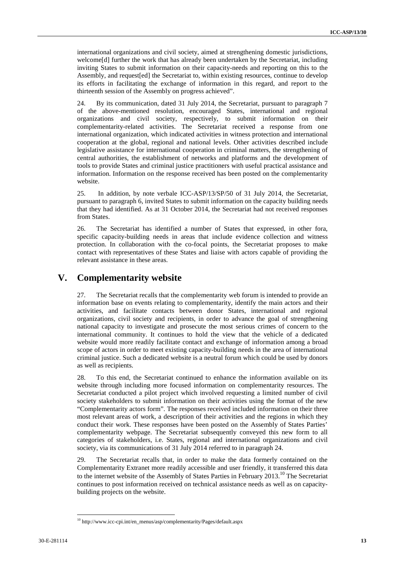international organizations and civil society, aimed at strengthening domestic jurisdictions, welcome[d] further the work that has already been undertaken by the Secretariat, including inviting States to submit information on their capacity-needs and reporting on this to the Assembly, and request[ed] the Secretariat to, within existing resources, continue to develop its efforts in facilitating the exchange of information in this regard, and report to the thirteenth session of the Assembly on progress achieved".

24. By its communication, dated 31 July 2014, the Secretariat, pursuant to paragraph 7 of the above-mentioned resolution, encouraged States, international and regional organizations and civil society, respectively, to submit information on their complementarity-related activities. The Secretariat received a response from one international organization, which indicated activities in witness protection and international cooperation at the global, regional and national levels. Other activities described include legislative assistance for international cooperation in criminal matters, the strengthening of central authorities, the establishment of networks and platforms and the development of tools to provide States and criminal justice practitioners with useful practical assistance and information. Information on the response received has been posted on the complementarity website.

25. In addition, by note verbale ICC-ASP/13/SP/50 of 31 July 2014, the Secretariat, pursuant to paragraph 6, invited States to submit information on the capacity building needs that they had identified. As at 31 October 2014, the Secretariat had not received responses from States.

26. The Secretariat has identified a number of States that expressed, in other fora, specific capacity-building needs in areas that include evidence collection and witness protection. In collaboration with the co-focal points, the Secretariat proposes to make contact with representatives of these States and liaise with actors capable of providing the relevant assistance in these areas.

#### **V. Complementarity website**

27. The Secretariat recalls that the complementarity web forum is intended to provide an information base on events relating to complementarity, identify the main actors and their activities, and facilitate contacts between donor States, international and regional organizations, civil society and recipients, in order to advance the goal of strengthening national capacity to investigate and prosecute the most serious crimes of concern to the international community. It continues to hold the view that the vehicle of a dedicated website would more readily facilitate contact and exchange of information among a broad scope of actors in order to meet existing capacity-building needs in the area of international criminal justice. Such a dedicated website is a neutral forum which could be used by donors as well as recipients.

28. To this end, the Secretariat continued to enhance the information available on its website through including more focused information on complementarity resources. The Secretariat conducted a pilot project which involved requesting a limited number of civil society stakeholders to submit information on their activities using the format of the new "Complementarity actors form". The responses received included information on their three most relevant areas of work, a description of their activities and the regions in which they conduct their work. These responses have been posted on the Assembly of States Parties' complementarity webpage. The Secretariat subsequently conveyed this new form to all categories of stakeholders, i.e. States, regional and international organizations and civil society, via its communications of 31 July 2014 referred to in paragraph 24.

29. The Secretariat recalls that, in order to make the data formerly contained on the Complementarity Extranet more readily accessible and user friendly, it transferred this data to the internet website of the Assembly of States Parties in February  $2013$ .<sup>10</sup> The Secretariat continues to post information received on technical assistance needs as well as on capacity building projects on the website.

<sup>10</sup> http://www.icc-cpi.int/en\_menus/asp/complementarity/Pages/default.aspx